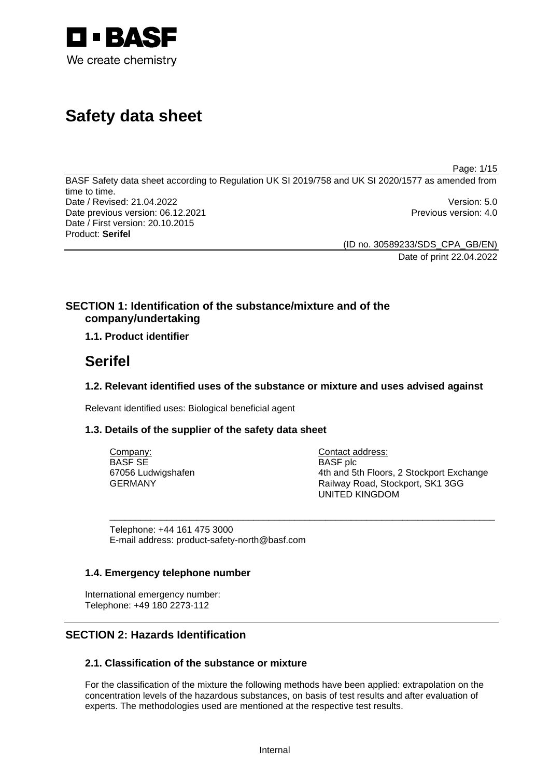

# **Safety data sheet**

Page: 1/15

BASF Safety data sheet according to Regulation UK SI 2019/758 and UK SI 2020/1577 as amended from time to time. Date / Revised: 21.04.2022 Version: 5.0 Date previous version: 06.12.2021 **Previous version: 4.0** Previous version: 4.0 Date / First version: 20.10.2015 Product: **Serifel** 

> (ID no. 30589233/SDS\_CPA\_GB/EN) Date of print 22.04.2022

# **SECTION 1: Identification of the substance/mixture and of the company/undertaking**

# **1.1. Product identifier**

# **Serifel**

# **1.2. Relevant identified uses of the substance or mixture and uses advised against**

Relevant identified uses: Biological beneficial agent

# **1.3. Details of the supplier of the safety data sheet**

| Company:           | Contact address:                         |
|--------------------|------------------------------------------|
| BASF SE            | <b>BASF</b> plc                          |
| 67056 Ludwigshafen | 4th and 5th Floors, 2 Stockport Exchange |
| GERMANY            | Railway Road, Stockport, SK1 3GG         |
|                    | UNITED KINGDOM                           |

\_\_\_\_\_\_\_\_\_\_\_\_\_\_\_\_\_\_\_\_\_\_\_\_\_\_\_\_\_\_\_\_\_\_\_\_\_\_\_\_\_\_\_\_\_\_\_\_\_\_\_\_\_\_\_\_\_\_\_\_\_\_\_\_\_\_\_\_\_\_\_\_\_\_\_

Telephone: +44 161 475 3000 E-mail address: product-safety-north@basf.com

# **1.4. Emergency telephone number**

International emergency number: Telephone: +49 180 2273-112

# **SECTION 2: Hazards Identification**

# **2.1. Classification of the substance or mixture**

For the classification of the mixture the following methods have been applied: extrapolation on the concentration levels of the hazardous substances, on basis of test results and after evaluation of experts. The methodologies used are mentioned at the respective test results.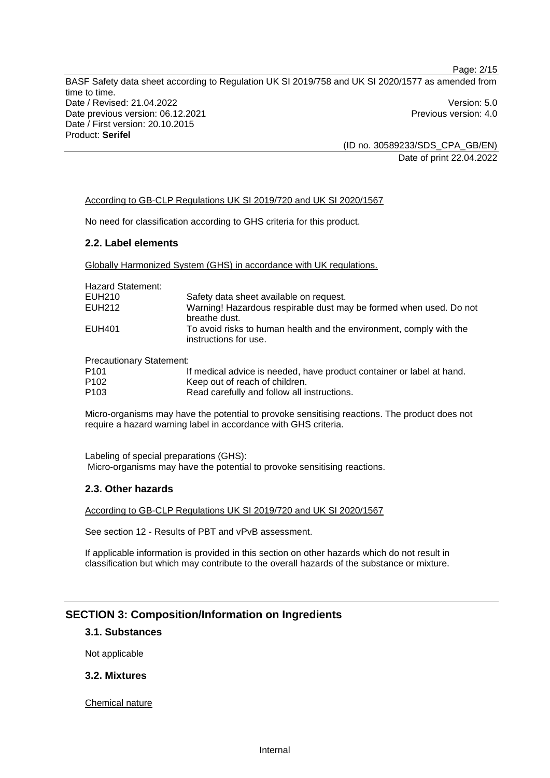Page: 2/15 BASF Safety data sheet according to Regulation UK SI 2019/758 and UK SI 2020/1577 as amended from time to time. Date / Revised: 21.04.2022 Version: 5.0 Date previous version: 06.12.2021 **Previous version: 4.0** Previous version: 4.0 Date / First version: 20.10.2015 Product: **Serifel** 

> (ID no. 30589233/SDS\_CPA\_GB/EN) Date of print 22.04.2022

#### According to GB-CLP Regulations UK SI 2019/720 and UK SI 2020/1567

No need for classification according to GHS criteria for this product.

#### **2.2. Label elements**

Globally Harmonized System (GHS) in accordance with UK regulations.

| <b>Hazard Statement:</b> |                                                                                              |
|--------------------------|----------------------------------------------------------------------------------------------|
| EUH210                   | Safety data sheet available on request.                                                      |
| EUH212                   | Warning! Hazardous respirable dust may be formed when used. Do not<br>breathe dust.          |
| EUH401                   | To avoid risks to human health and the environment, comply with the<br>instructions for use. |

Precautionary Statement:

| P <sub>101</sub> | If medical advice is needed, have product container or label at hand. |
|------------------|-----------------------------------------------------------------------|
| P <sub>102</sub> | Keep out of reach of children.                                        |
| P <sub>103</sub> | Read carefully and follow all instructions.                           |

Micro-organisms may have the potential to provoke sensitising reactions. The product does not require a hazard warning label in accordance with GHS criteria.

Labeling of special preparations (GHS): Micro-organisms may have the potential to provoke sensitising reactions.

#### **2.3. Other hazards**

According to GB-CLP Regulations UK SI 2019/720 and UK SI 2020/1567

See section 12 - Results of PBT and vPvB assessment.

If applicable information is provided in this section on other hazards which do not result in classification but which may contribute to the overall hazards of the substance or mixture.

#### **SECTION 3: Composition/Information on Ingredients**

## **3.1. Substances**

Not applicable

## **3.2. Mixtures**

Chemical nature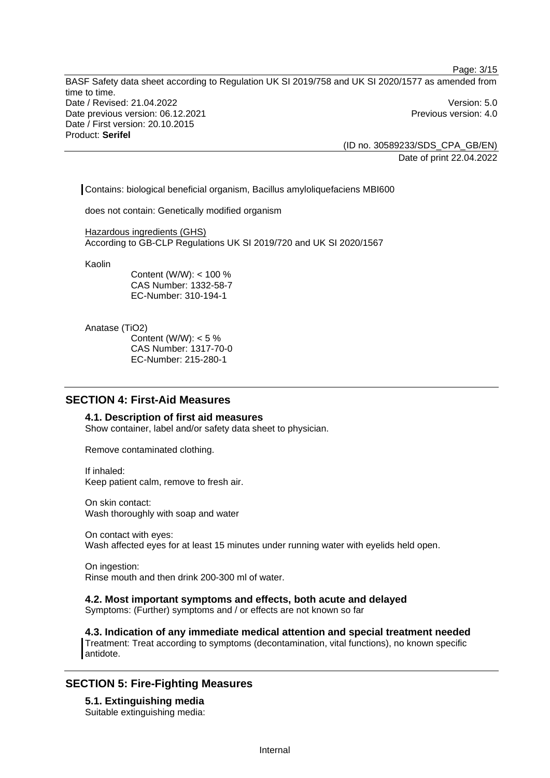BASF Safety data sheet according to Regulation UK SI 2019/758 and UK SI 2020/1577 as amended from time to time. Date / Revised: 21.04.2022 Version: 5.0 Date previous version: 06.12.2021 **Previous version: 4.0** Previous version: 4.0 Date / First version: 20.10.2015 Product: **Serifel** 

> (ID no. 30589233/SDS\_CPA\_GB/EN) Date of print 22.04.2022

Page: 3/15

Contains: biological beneficial organism, Bacillus amyloliquefaciens MBI600

does not contain: Genetically modified organism

Hazardous ingredients (GHS) According to GB-CLP Regulations UK SI 2019/720 and UK SI 2020/1567

Kaolin

Content (W/W): < 100 % CAS Number: 1332-58-7 EC-Number: 310-194-1

Anatase (TiO2)

Content (W/W):  $< 5 \%$ CAS Number: 1317-70-0 EC-Number: 215-280-1

# **SECTION 4: First-Aid Measures**

#### **4.1. Description of first aid measures**

Show container, label and/or safety data sheet to physician.

Remove contaminated clothing.

If inhaled: Keep patient calm, remove to fresh air.

On skin contact: Wash thoroughly with soap and water

On contact with eyes: Wash affected eyes for at least 15 minutes under running water with eyelids held open.

On ingestion: Rinse mouth and then drink 200-300 ml of water.

## **4.2. Most important symptoms and effects, both acute and delayed**

Symptoms: (Further) symptoms and / or effects are not known so far

**4.3. Indication of any immediate medical attention and special treatment needed**  Treatment: Treat according to symptoms (decontamination, vital functions), no known specific antidote.

# **SECTION 5: Fire-Fighting Measures**

**5.1. Extinguishing media**  Suitable extinguishing media: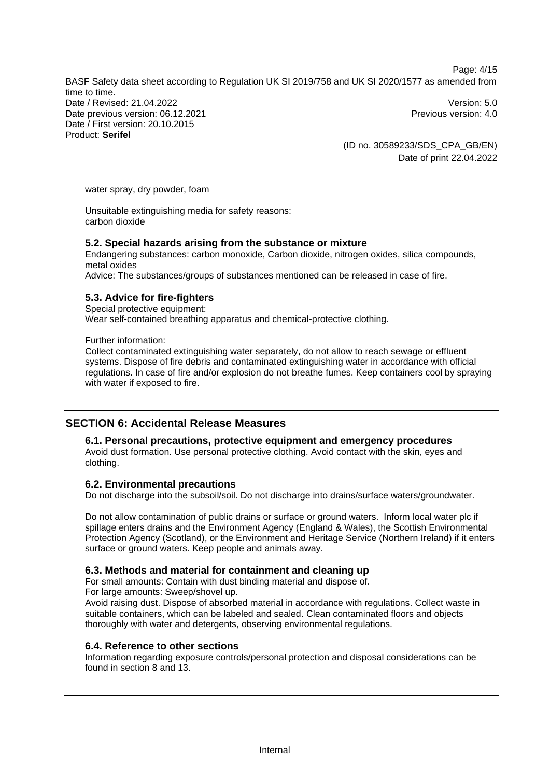Page: 4/15

BASF Safety data sheet according to Regulation UK SI 2019/758 and UK SI 2020/1577 as amended from time to time. Date / Revised: 21.04.2022 Version: 5.0 Date previous version: 06.12.2021 **Previous version: 4.0** Previous version: 4.0 Date / First version: 20.10.2015 Product: **Serifel** 

(ID no. 30589233/SDS\_CPA\_GB/EN) Date of print 22.04.2022

water spray, dry powder, foam

Unsuitable extinguishing media for safety reasons: carbon dioxide

#### **5.2. Special hazards arising from the substance or mixture**

Endangering substances: carbon monoxide, Carbon dioxide, nitrogen oxides, silica compounds, metal oxides

Advice: The substances/groups of substances mentioned can be released in case of fire.

## **5.3. Advice for fire-fighters**

Special protective equipment: Wear self-contained breathing apparatus and chemical-protective clothing.

Further information:

Collect contaminated extinguishing water separately, do not allow to reach sewage or effluent systems. Dispose of fire debris and contaminated extinguishing water in accordance with official regulations. In case of fire and/or explosion do not breathe fumes. Keep containers cool by spraying with water if exposed to fire.

# **SECTION 6: Accidental Release Measures**

# **6.1. Personal precautions, protective equipment and emergency procedures**

Avoid dust formation. Use personal protective clothing. Avoid contact with the skin, eyes and clothing.

#### **6.2. Environmental precautions**

Do not discharge into the subsoil/soil. Do not discharge into drains/surface waters/groundwater.

Do not allow contamination of public drains or surface or ground waters. Inform local water plc if spillage enters drains and the Environment Agency (England & Wales), the Scottish Environmental Protection Agency (Scotland), or the Environment and Heritage Service (Northern Ireland) if it enters surface or ground waters. Keep people and animals away.

## **6.3. Methods and material for containment and cleaning up**

For small amounts: Contain with dust binding material and dispose of. For large amounts: Sweep/shovel up.

Avoid raising dust. Dispose of absorbed material in accordance with regulations. Collect waste in suitable containers, which can be labeled and sealed. Clean contaminated floors and objects thoroughly with water and detergents, observing environmental regulations.

#### **6.4. Reference to other sections**

Information regarding exposure controls/personal protection and disposal considerations can be found in section 8 and 13.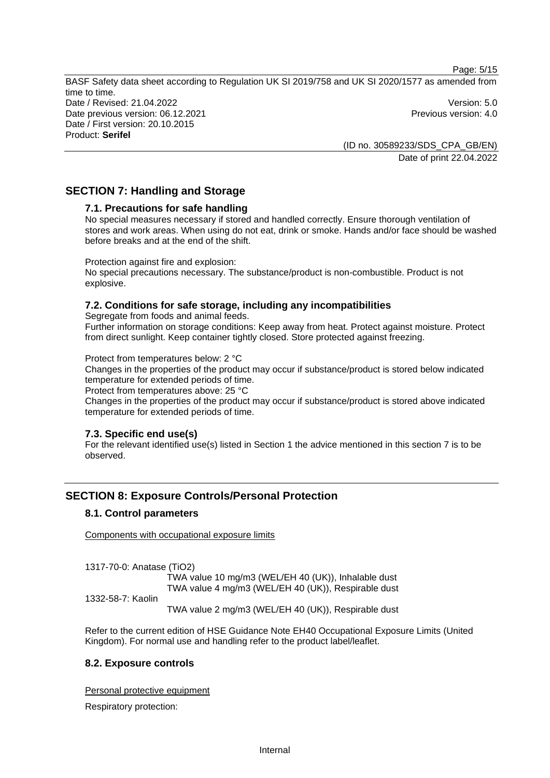Page: 5/15

BASF Safety data sheet according to Regulation UK SI 2019/758 and UK SI 2020/1577 as amended from time to time. Date / Revised: 21.04.2022 Version: 5.0 Date previous version: 06.12.2021 **Previous version: 4.0** Previous version: 4.0 Date / First version: 20.10.2015 Product: **Serifel** 

> (ID no. 30589233/SDS\_CPA\_GB/EN) Date of print 22.04.2022

# **SECTION 7: Handling and Storage**

# **7.1. Precautions for safe handling**

No special measures necessary if stored and handled correctly. Ensure thorough ventilation of stores and work areas. When using do not eat, drink or smoke. Hands and/or face should be washed before breaks and at the end of the shift.

Protection against fire and explosion:

No special precautions necessary. The substance/product is non-combustible. Product is not explosive.

# **7.2. Conditions for safe storage, including any incompatibilities**

Segregate from foods and animal feeds. Further information on storage conditions: Keep away from heat. Protect against moisture. Protect from direct sunlight. Keep container tightly closed. Store protected against freezing.

Protect from temperatures below: 2 °C

Changes in the properties of the product may occur if substance/product is stored below indicated temperature for extended periods of time.

Protect from temperatures above: 25 °C

Changes in the properties of the product may occur if substance/product is stored above indicated temperature for extended periods of time.

# **7.3. Specific end use(s)**

For the relevant identified use(s) listed in Section 1 the advice mentioned in this section 7 is to be observed.

# **SECTION 8: Exposure Controls/Personal Protection**

#### **8.1. Control parameters**

Components with occupational exposure limits

1317-70-0: Anatase (TiO2)

TWA value 10 mg/m3 (WEL/EH 40 (UK)), Inhalable dust TWA value 4 mg/m3 (WEL/EH 40 (UK)), Respirable dust

1332-58-7: Kaolin

TWA value 2 mg/m3 (WEL/EH 40 (UK)), Respirable dust

Refer to the current edition of HSE Guidance Note EH40 Occupational Exposure Limits (United Kingdom). For normal use and handling refer to the product label/leaflet.

# **8.2. Exposure controls**

Personal protective equipment

Respiratory protection: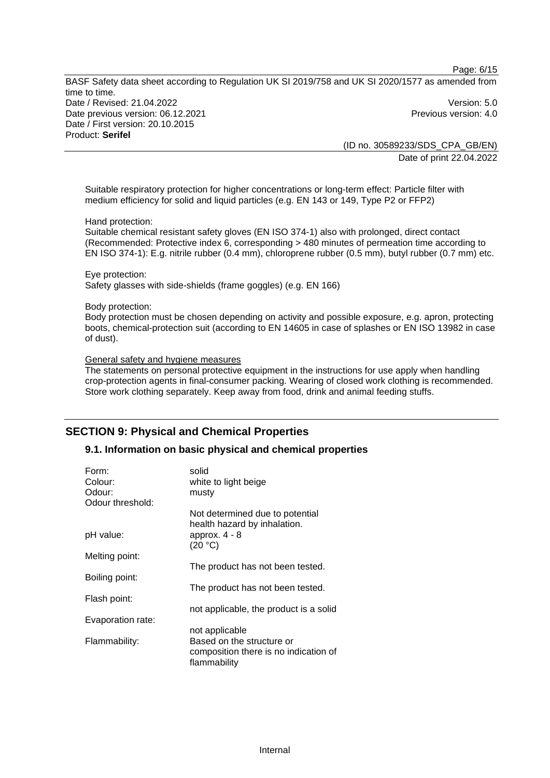Page: 6/15

BASF Safety data sheet according to Regulation UK SI 2019/758 and UK SI 2020/1577 as amended from time to time. Date / Revised: 21.04.2022 Version: 5.0 Date previous version: 06.12.2021 **Previous version: 4.0** Previous version: 4.0 Date / First version: 20.10.2015 Product: **Serifel** 

(ID no. 30589233/SDS\_CPA\_GB/EN) Date of print 22.04.2022

Suitable respiratory protection for higher concentrations or long-term effect: Particle filter with medium efficiency for solid and liquid particles (e.g. EN 143 or 149, Type P2 or FFP2)

#### Hand protection:

Suitable chemical resistant safety gloves (EN ISO 374-1) also with prolonged, direct contact (Recommended: Protective index 6, corresponding > 480 minutes of permeation time according to EN ISO 374-1): E.g. nitrile rubber (0.4 mm), chloroprene rubber (0.5 mm), butyl rubber (0.7 mm) etc.

Eye protection: Safety glasses with side-shields (frame goggles) (e.g. EN 166)

#### Body protection:

Body protection must be chosen depending on activity and possible exposure, e.g. apron, protecting boots, chemical-protection suit (according to EN 14605 in case of splashes or EN ISO 13982 in case of dust).

#### General safety and hygiene measures

The statements on personal protective equipment in the instructions for use apply when handling crop-protection agents in final-consumer packing. Wearing of closed work clothing is recommended. Store work clothing separately. Keep away from food, drink and animal feeding stuffs.

# **SECTION 9: Physical and Chemical Properties**

## **9.1. Information on basic physical and chemical properties**

| Form:<br>Colour:  | solid<br>white to light beige                                                      |
|-------------------|------------------------------------------------------------------------------------|
| Odour:            | musty                                                                              |
| Odour threshold:  |                                                                                    |
|                   | Not determined due to potential<br>health hazard by inhalation.                    |
| pH value:         | approx. $4 - 8$<br>(20 °C)                                                         |
| Melting point:    |                                                                                    |
|                   | The product has not been tested.                                                   |
| Boiling point:    |                                                                                    |
|                   | The product has not been tested.                                                   |
| Flash point:      |                                                                                    |
|                   | not applicable, the product is a solid                                             |
| Evaporation rate: |                                                                                    |
|                   | not applicable                                                                     |
| Flammability:     | Based on the structure or<br>composition there is no indication of<br>flammability |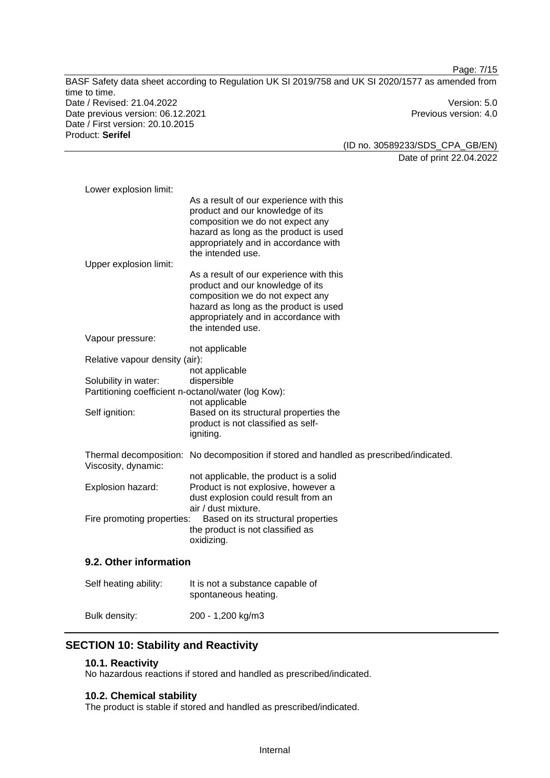Page: 7/15 BASF Safety data sheet according to Regulation UK SI 2019/758 and UK SI 2020/1577 as amended from time to time. Date / Revised: 21.04.2022 Version: 5.0 Date previous version: 06.12.2021 Previous version: 4.0 Date / First version: 20.10.2015 Product: **Serifel** 

(ID no. 30589233/SDS\_CPA\_GB/EN) Date of print 22.04.2022

| Lower explosion limit:                                                      |                                                                                                                                                                                                                       |
|-----------------------------------------------------------------------------|-----------------------------------------------------------------------------------------------------------------------------------------------------------------------------------------------------------------------|
|                                                                             | As a result of our experience with this<br>product and our knowledge of its<br>composition we do not expect any<br>hazard as long as the product is used<br>appropriately and in accordance with<br>the intended use. |
| Upper explosion limit:                                                      | As a result of our experience with this                                                                                                                                                                               |
|                                                                             | product and our knowledge of its<br>composition we do not expect any<br>hazard as long as the product is used<br>appropriately and in accordance with<br>the intended use.                                            |
| Vapour pressure:                                                            |                                                                                                                                                                                                                       |
|                                                                             | not applicable                                                                                                                                                                                                        |
| Relative vapour density (air):                                              | not applicable                                                                                                                                                                                                        |
| Solubility in water:<br>Partitioning coefficient n-octanol/water (log Kow): | dispersible<br>not applicable                                                                                                                                                                                         |
| Self ignition:                                                              | Based on its structural properties the<br>product is not classified as self-<br>igniting.                                                                                                                             |
| Viscosity, dynamic:                                                         | Thermal decomposition: No decomposition if stored and handled as prescribed/indicated.                                                                                                                                |
| Explosion hazard:                                                           | not applicable, the product is a solid<br>Product is not explosive, however a<br>dust explosion could result from an<br>air / dust mixture.                                                                           |
| Fire promoting properties:                                                  | Based on its structural properties<br>the product is not classified as<br>oxidizing.                                                                                                                                  |
| 9.2. Other information                                                      |                                                                                                                                                                                                                       |
| Self heating ability:                                                       | It is not a substance capable of<br>spontaneous heating.                                                                                                                                                              |

Bulk density: 200 - 1,200 kg/m3

# **SECTION 10: Stability and Reactivity**

#### **10.1. Reactivity**

No hazardous reactions if stored and handled as prescribed/indicated.

# **10.2. Chemical stability**

The product is stable if stored and handled as prescribed/indicated.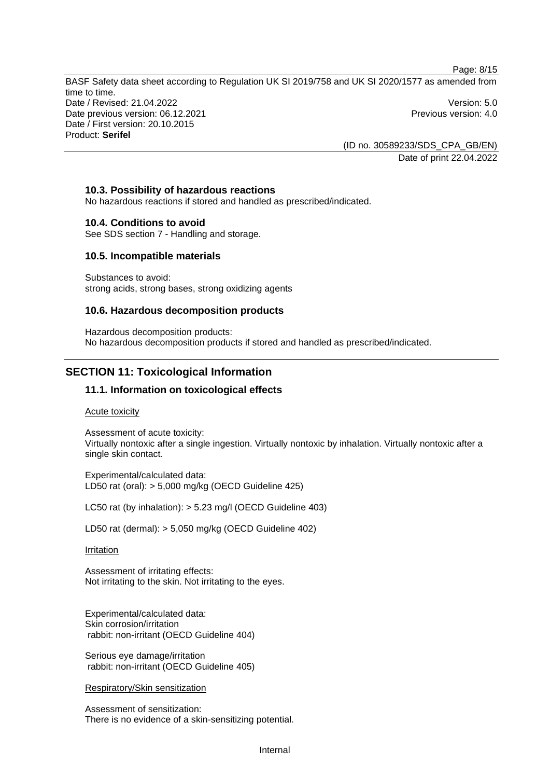Page: 8/15

BASF Safety data sheet according to Regulation UK SI 2019/758 and UK SI 2020/1577 as amended from time to time. Date / Revised: 21.04.2022 Version: 5.0 Date previous version: 06.12.2021 **Previous version: 4.0** Previous version: 4.0 Date / First version: 20.10.2015 Product: **Serifel** 

> (ID no. 30589233/SDS\_CPA\_GB/EN) Date of print 22.04.2022

## **10.3. Possibility of hazardous reactions**

No hazardous reactions if stored and handled as prescribed/indicated.

#### **10.4. Conditions to avoid**

See SDS section 7 - Handling and storage.

#### **10.5. Incompatible materials**

Substances to avoid: strong acids, strong bases, strong oxidizing agents

#### **10.6. Hazardous decomposition products**

Hazardous decomposition products: No hazardous decomposition products if stored and handled as prescribed/indicated.

# **SECTION 11: Toxicological Information**

# **11.1. Information on toxicological effects**

#### Acute toxicity

Assessment of acute toxicity: Virtually nontoxic after a single ingestion. Virtually nontoxic by inhalation. Virtually nontoxic after a single skin contact.

Experimental/calculated data: LD50 rat (oral): > 5,000 mg/kg (OECD Guideline 425)

LC50 rat (by inhalation): > 5.23 mg/l (OECD Guideline 403)

LD50 rat (dermal): > 5,050 mg/kg (OECD Guideline 402)

#### Irritation

Assessment of irritating effects: Not irritating to the skin. Not irritating to the eyes.

Experimental/calculated data: Skin corrosion/irritation rabbit: non-irritant (OECD Guideline 404)

Serious eye damage/irritation rabbit: non-irritant (OECD Guideline 405)

Respiratory/Skin sensitization

Assessment of sensitization: There is no evidence of a skin-sensitizing potential.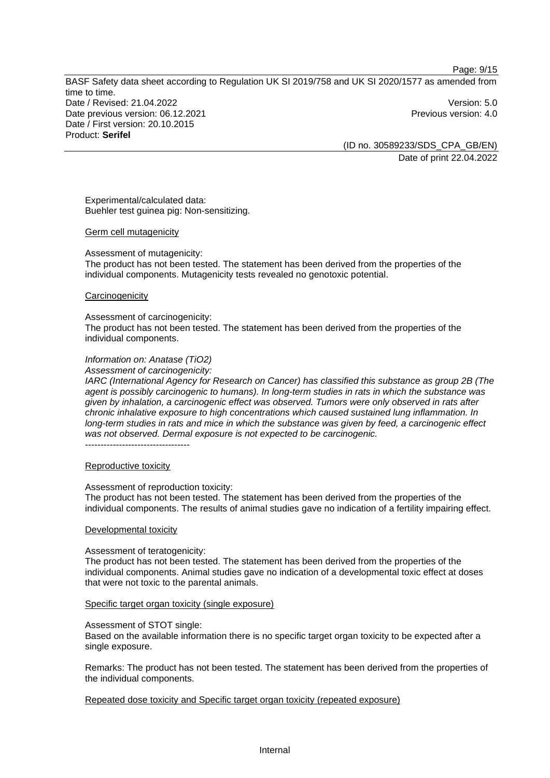Page: 9/15

BASF Safety data sheet according to Regulation UK SI 2019/758 and UK SI 2020/1577 as amended from time to time. Date / Revised: 21.04.2022 Version: 5.0 Date previous version: 06.12.2021 **Previous version: 4.0** Previous version: 4.0 Date / First version: 20.10.2015 Product: **Serifel** 

(ID no. 30589233/SDS\_CPA\_GB/EN) Date of print 22.04.2022

Experimental/calculated data: Buehler test guinea pig: Non-sensitizing.

#### Germ cell mutagenicity

Assessment of mutagenicity:

The product has not been tested. The statement has been derived from the properties of the individual components. Mutagenicity tests revealed no genotoxic potential.

#### **Carcinogenicity**

#### Assessment of carcinogenicity:

The product has not been tested. The statement has been derived from the properties of the individual components.

## *Information on: Anatase (TiO2)*

*Assessment of carcinogenicity:* 

*IARC (International Agency for Research on Cancer) has classified this substance as group 2B (The agent is possibly carcinogenic to humans). In long-term studies in rats in which the substance was given by inhalation, a carcinogenic effect was observed. Tumors were only observed in rats after chronic inhalative exposure to high concentrations which caused sustained lung inflammation. In long-term studies in rats and mice in which the substance was given by feed, a carcinogenic effect was not observed. Dermal exposure is not expected to be carcinogenic.*  -----------------------------------

#### Reproductive toxicity

#### Assessment of reproduction toxicity:

The product has not been tested. The statement has been derived from the properties of the individual components. The results of animal studies gave no indication of a fertility impairing effect.

### Developmental toxicity

#### Assessment of teratogenicity:

The product has not been tested. The statement has been derived from the properties of the individual components. Animal studies gave no indication of a developmental toxic effect at doses that were not toxic to the parental animals.

#### Specific target organ toxicity (single exposure)

#### Assessment of STOT single:

Based on the available information there is no specific target organ toxicity to be expected after a single exposure.

Remarks: The product has not been tested. The statement has been derived from the properties of the individual components.

Repeated dose toxicity and Specific target organ toxicity (repeated exposure)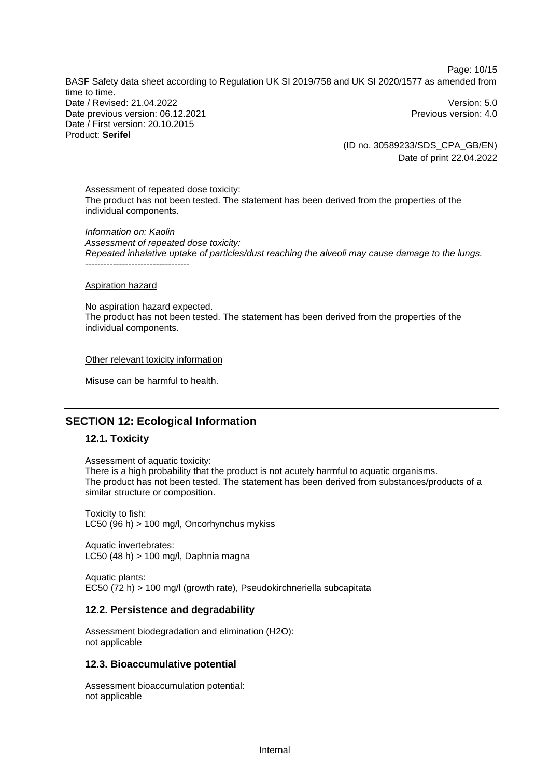Page: 10/15

BASF Safety data sheet according to Regulation UK SI 2019/758 and UK SI 2020/1577 as amended from time to time. Date / Revised: 21.04.2022 Version: 5.0 Date previous version: 06.12.2021 **Previous version: 4.0** Previous version: 4.0 Date / First version: 20.10.2015 Product: **Serifel** 

(ID no. 30589233/SDS\_CPA\_GB/EN) Date of print 22.04.2022

Assessment of repeated dose toxicity: The product has not been tested. The statement has been derived from the properties of the individual components.

*Information on: Kaolin Assessment of repeated dose toxicity: Repeated inhalative uptake of particles/dust reaching the alveoli may cause damage to the lungs.*  ----------------------------------

Aspiration hazard

No aspiration hazard expected. The product has not been tested. The statement has been derived from the properties of the individual components.

Other relevant toxicity information

Misuse can be harmful to health.

# **SECTION 12: Ecological Information**

#### **12.1. Toxicity**

Assessment of aquatic toxicity:

There is a high probability that the product is not acutely harmful to aquatic organisms. The product has not been tested. The statement has been derived from substances/products of a similar structure or composition.

Toxicity to fish: LC50 (96 h) > 100 mg/l, Oncorhynchus mykiss

Aquatic invertebrates: LC50 (48 h) > 100 mg/l, Daphnia magna

Aquatic plants: EC50 (72 h) > 100 mg/l (growth rate), Pseudokirchneriella subcapitata

#### **12.2. Persistence and degradability**

Assessment biodegradation and elimination (H2O): not applicable

#### **12.3. Bioaccumulative potential**

Assessment bioaccumulation potential: not applicable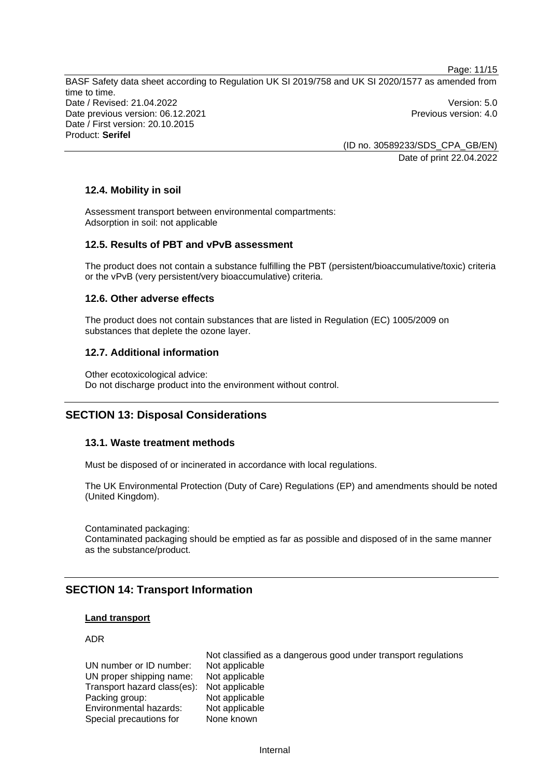Page: 11/15 BASF Safety data sheet according to Regulation UK SI 2019/758 and UK SI 2020/1577 as amended from time to time. Date / Revised: 21.04.2022 Version: 5.0 Date previous version: 06.12.2021 **Previous version: 4.0** Previous version: 4.0 Date / First version: 20.10.2015 Product: **Serifel** 

(ID no. 30589233/SDS\_CPA\_GB/EN) Date of print 22.04.2022

# **12.4. Mobility in soil**

Assessment transport between environmental compartments: Adsorption in soil: not applicable

## **12.5. Results of PBT and vPvB assessment**

The product does not contain a substance fulfilling the PBT (persistent/bioaccumulative/toxic) criteria or the vPvB (very persistent/very bioaccumulative) criteria.

## **12.6. Other adverse effects**

The product does not contain substances that are listed in Regulation (EC) 1005/2009 on substances that deplete the ozone layer.

#### **12.7. Additional information**

Other ecotoxicological advice: Do not discharge product into the environment without control.

# **SECTION 13: Disposal Considerations**

#### **13.1. Waste treatment methods**

Must be disposed of or incinerated in accordance with local regulations.

The UK Environmental Protection (Duty of Care) Regulations (EP) and amendments should be noted (United Kingdom).

Contaminated packaging: Contaminated packaging should be emptied as far as possible and disposed of in the same manner as the substance/product.

# **SECTION 14: Transport Information**

#### **Land transport**

### ADR

UN number or ID number: Not applicable UN proper shipping name: Not applicable Transport hazard class(es): Not applicable Packing group: Not applicable Environmental hazards: Not applicable Special precautions for None known

Not classified as a dangerous good under transport regulations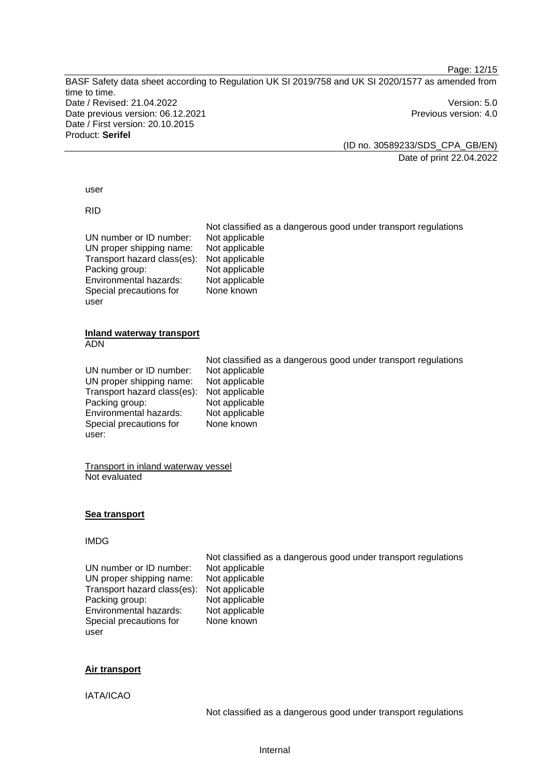Page: 12/15 BASF Safety data sheet according to Regulation UK SI 2019/758 and UK SI 2020/1577 as amended from time to time. Date / Revised: 21.04.2022 Version: 5.0 Date previous version: 06.12.2021 **Previous version: 4.0** Previous version: 4.0 Date / First version: 20.10.2015 Product: **Serifel** 

(ID no. 30589233/SDS\_CPA\_GB/EN) Date of print 22.04.2022

#### user

RID

| UN number or ID number:<br>UN proper shipping name:<br>Transport hazard class(es):<br>Packing group:<br>Environmental hazards:<br>Special precautions for<br>user | Not classified as a dangerous good under transport regulations<br>Not applicable<br>Not applicable<br>Not applicable<br>Not applicable<br>Not applicable<br>None known |
|-------------------------------------------------------------------------------------------------------------------------------------------------------------------|------------------------------------------------------------------------------------------------------------------------------------------------------------------------|
| Inland waterway transport<br><b>ADN</b>                                                                                                                           |                                                                                                                                                                        |
| UN number or ID number:<br>UN proper shipping name:<br>Transport hazard class(es):<br>Packing group:<br>Environmental hazards:<br>Special precautions for         | Not classified as a dangerous good under transport regulations<br>Not applicable<br>Not applicable<br>Not applicable<br>Not applicable<br>Not applicable<br>None known |

Transport in inland waterway vessel Not evaluated

### **Sea transport**

# IMDG

user:

UN number or ID number: UN proper shipping name: Not applicable Transport hazard class(es): Not applicable Packing group: Not applicable<br>
Environmental hazards: Not applicable Environmental hazards: Special precautions for user

Not classified as a dangerous good under transport regulations None known

#### **Air transport**

IATA/ICAO

Not classified as a dangerous good under transport regulations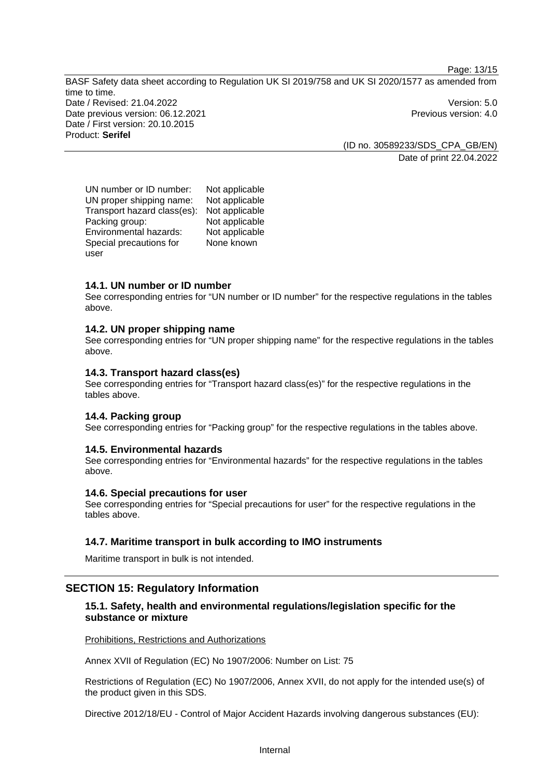Page: 13/15

BASF Safety data sheet according to Regulation UK SI 2019/758 and UK SI 2020/1577 as amended from time to time. Date / Revised: 21.04.2022 Version: 5.0 Date previous version: 06.12.2021 **Previous version: 4.0** Previous version: 4.0 Date / First version: 20.10.2015 Product: **Serifel** 

> (ID no. 30589233/SDS\_CPA\_GB/EN) Date of print 22.04.2022

UN number or ID number: Not applicable UN proper shipping name: Not applicable Transport hazard class(es): Not applicable Packing group: Not applicable Environmental hazards: Not applicable Special precautions for user None known

# **14.1. UN number or ID number**

See corresponding entries for "UN number or ID number" for the respective regulations in the tables above.

# **14.2. UN proper shipping name**

See corresponding entries for "UN proper shipping name" for the respective regulations in the tables above.

## **14.3. Transport hazard class(es)**

See corresponding entries for "Transport hazard class(es)" for the respective regulations in the tables above.

## **14.4. Packing group**

See corresponding entries for "Packing group" for the respective regulations in the tables above.

#### **14.5. Environmental hazards**

See corresponding entries for "Environmental hazards" for the respective regulations in the tables above.

#### **14.6. Special precautions for user**

See corresponding entries for "Special precautions for user" for the respective regulations in the tables above.

# **14.7. Maritime transport in bulk according to IMO instruments**

Maritime transport in bulk is not intended.

# **SECTION 15: Regulatory Information**

# **15.1. Safety, health and environmental regulations/legislation specific for the substance or mixture**

Prohibitions, Restrictions and Authorizations

Annex XVII of Regulation (EC) No 1907/2006: Number on List: 75

Restrictions of Regulation (EC) No 1907/2006, Annex XVII, do not apply for the intended use(s) of the product given in this SDS.

Directive 2012/18/EU - Control of Major Accident Hazards involving dangerous substances (EU):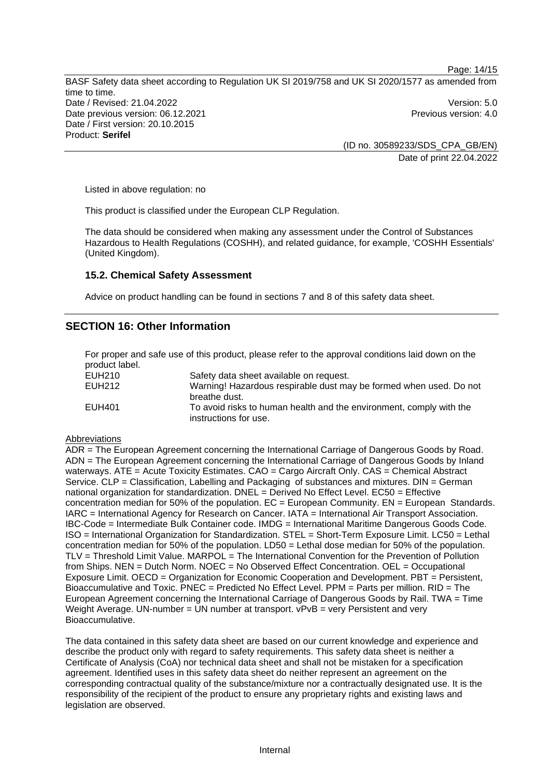BASF Safety data sheet according to Regulation UK SI 2019/758 and UK SI 2020/1577 as amended from time to time. Date / Revised: 21.04.2022 Version: 5.0 Date previous version: 06.12.2021 **Previous version: 4.0** Previous version: 4.0 Date / First version: 20.10.2015 Product: **Serifel** 

(ID no. 30589233/SDS\_CPA\_GB/EN) Date of print 22.04.2022

Page: 14/15

Listed in above regulation: no

This product is classified under the European CLP Regulation.

The data should be considered when making any assessment under the Control of Substances Hazardous to Health Regulations (COSHH), and related guidance, for example, 'COSHH Essentials' (United Kingdom).

## **15.2. Chemical Safety Assessment**

Advice on product handling can be found in sections 7 and 8 of this safety data sheet.

# **SECTION 16: Other Information**

For proper and safe use of this product, please refer to the approval conditions laid down on the product label.

| EUH210 | Safety data sheet available on request.                             |
|--------|---------------------------------------------------------------------|
| EUH212 | Warning! Hazardous respirable dust may be formed when used. Do not  |
|        | breathe dust.                                                       |
| EUH401 | To avoid risks to human health and the environment, comply with the |
|        | instructions for use.                                               |

#### **Abbreviations**

ADR = The European Agreement concerning the International Carriage of Dangerous Goods by Road. ADN = The European Agreement concerning the International Carriage of Dangerous Goods by Inland waterways. ATE = Acute Toxicity Estimates. CAO = Cargo Aircraft Only. CAS = Chemical Abstract Service. CLP = Classification, Labelling and Packaging of substances and mixtures. DIN = German national organization for standardization. DNEL = Derived No Effect Level. EC50 = Effective concentration median for 50% of the population.  $EC = European Community$ .  $EN = European Standards$ . IARC = International Agency for Research on Cancer. IATA = International Air Transport Association. IBC-Code = Intermediate Bulk Container code. IMDG = International Maritime Dangerous Goods Code. ISO = International Organization for Standardization. STEL = Short-Term Exposure Limit. LC50 = Lethal concentration median for 50% of the population. LD50 = Lethal dose median for 50% of the population. TLV = Threshold Limit Value. MARPOL = The International Convention for the Prevention of Pollution from Ships. NEN = Dutch Norm. NOEC = No Observed Effect Concentration. OEL = Occupational Exposure Limit. OECD = Organization for Economic Cooperation and Development. PBT = Persistent, Bioaccumulative and Toxic. PNEC = Predicted No Effect Level. PPM = Parts per million. RID = The European Agreement concerning the International Carriage of Dangerous Goods by Rail. TWA = Time Weight Average. UN-number  $=$  UN number at transport.  $vPvB = verv$  Persistent and very Bioaccumulative.

The data contained in this safety data sheet are based on our current knowledge and experience and describe the product only with regard to safety requirements. This safety data sheet is neither a Certificate of Analysis (CoA) nor technical data sheet and shall not be mistaken for a specification agreement. Identified uses in this safety data sheet do neither represent an agreement on the corresponding contractual quality of the substance/mixture nor a contractually designated use. It is the responsibility of the recipient of the product to ensure any proprietary rights and existing laws and legislation are observed.